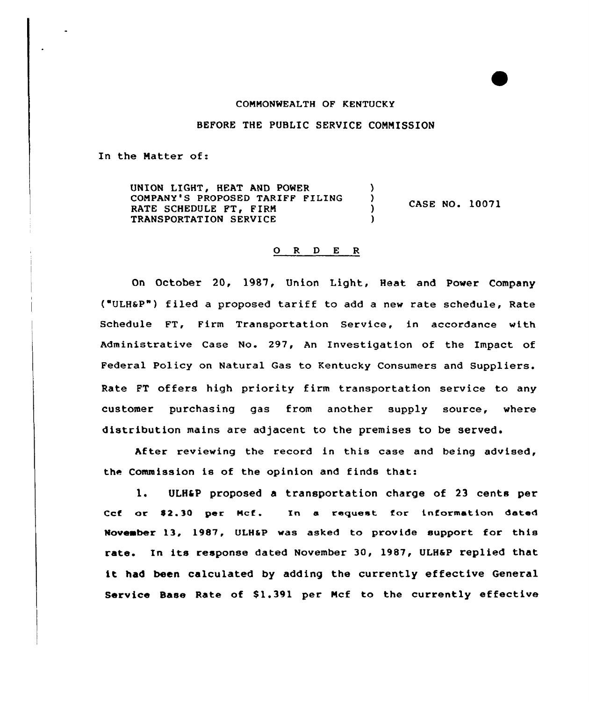## COMMONWEALTH OF KENTUCKY

BEFORE THE PUBLIC SERVICE COMMISSION

In the Matter of:

UNION LIGHT, HEAT AND POWER (2008)<br>COMPANY'S PROPOSED TARIFF FILING (2008) COMPANY'S PROPOSED TARIFF FILING ) RATE SCHEDULE FT, FIRM (1999) TRANSPORTATION SERVICE CASE NO. 10071

## 0 R <sup>D</sup> E <sup>R</sup>

On October 20, 1987, Union Light, Heat and Power Company ( ULHSP") filed <sup>a</sup> proposed tariff to add <sup>a</sup> new rate schedule, Rate Schedule FT, Firm Transportation Service, in accordance with Administrative case No. 297, An Investigation of the Impact of Federal Policy on Natural Gas to Kentucky Consumers and Suppliers. Rate FT offers high priority firm transportation service to any customer purchasing gas from another supply source, where distribution mains are adjacent to the premises to be served.

After reviewing the record in this case and being advised, the Commission is of the opinion and finds that:

1. ULH&P proposed a transportation charge of 23 cents per Ccf or \$2.30 per Mcf. In a request for information dated November 13, 1987, ULHaP was asked to provide support for this rate. In its response dated November 30, 1987, ULHaP replied that it had been calculated by adding the currently effective General Service Base Rate of \$1.391 per Mcf to the currently effective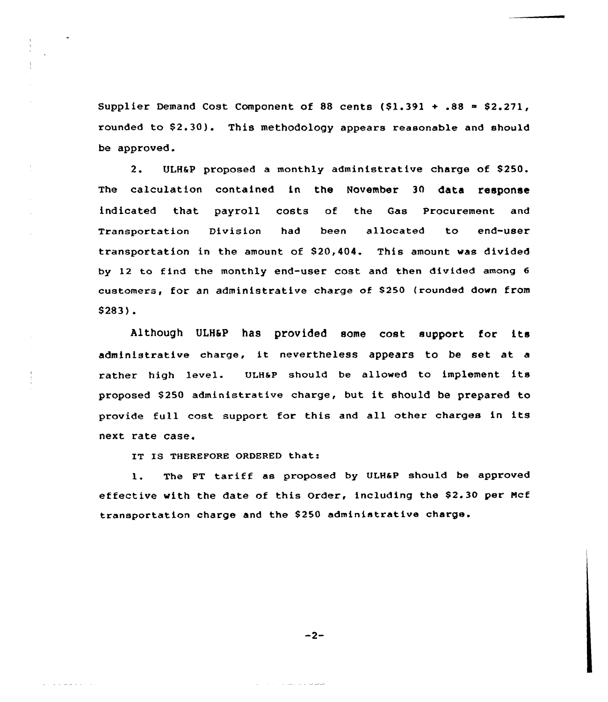Supplier Demand Cost Component of 88 cents  $(1.391 + .88 = 2.271)$ , rounded to \$2.30). This methodology appears reasonable and should be approved.

2. ULH&P proposed a monthly administrative charge of \$250. The calculation contained in the November 30 data response indicated that payroll costs of the Gas Procurement and Transportation Division had been allocated to end-user transportation in the amount of \$20,404. This amount was divided by 12 to find the monthly end-user cost and then divided among <sup>6</sup> customers, for an administrative charge of \$ 250 (rounded down from \$283).

Although ULH&P has provided some cost support for its administrative charge, it nevertheless appears to be set at <sup>a</sup> rather high level. ULHaP should be allowed to implement its proposed \$ <sup>250</sup> administrative charge, but it should be prepared to provide full cost support for this and all other charges in its next rate case.

IT IS THEREFORE ORDERED that:

l. The FT tariff as proposed by ULHaP should be approved effective with the date of this Order, including the \$2.30 per Mcf transportation charge and the \$ 250 administrative charge.

 $-2-$